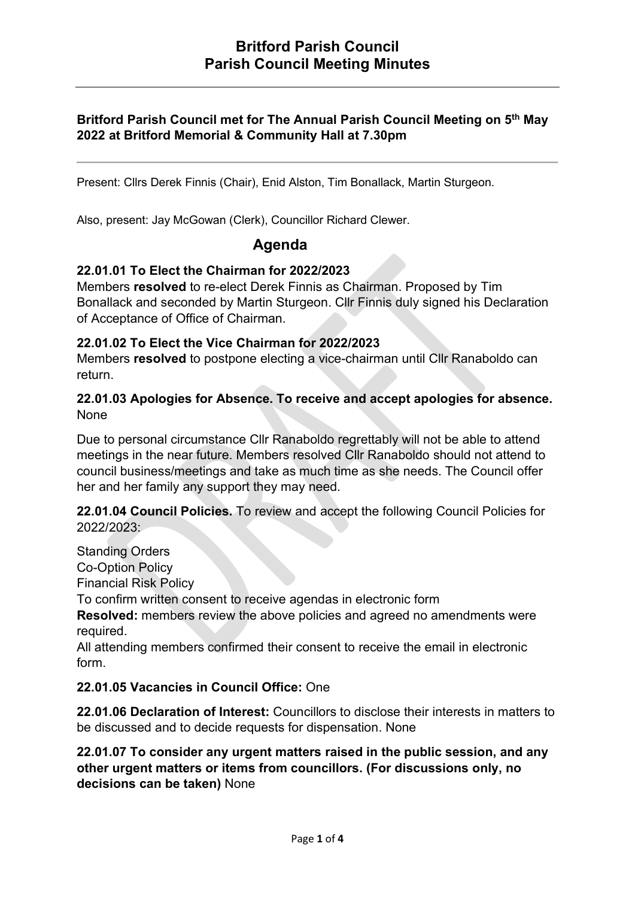## Britford Parish Council met for The Annual Parish Council Meeting on 5th May 2022 at Britford Memorial & Community Hall at 7.30pm

Present: Cllrs Derek Finnis (Chair), Enid Alston, Tim Bonallack, Martin Sturgeon.

Also, present: Jay McGowan (Clerk), Councillor Richard Clewer.

## Agenda

#### 22.01.01 To Elect the Chairman for 2022/2023

Members resolved to re-elect Derek Finnis as Chairman. Proposed by Tim Bonallack and seconded by Martin Sturgeon. Cllr Finnis duly signed his Declaration of Acceptance of Office of Chairman.

### 22.01.02 To Elect the Vice Chairman for 2022/2023

Members resolved to postpone electing a vice-chairman until Cllr Ranaboldo can return.

### 22.01.03 Apologies for Absence. To receive and accept apologies for absence. None

Due to personal circumstance Cllr Ranaboldo regrettably will not be able to attend meetings in the near future. Members resolved Cllr Ranaboldo should not attend to council business/meetings and take as much time as she needs. The Council offer her and her family any support they may need.

22.01.04 Council Policies. To review and accept the following Council Policies for 2022/2023:

Standing Orders

Co-Option Policy

Financial Risk Policy

To confirm written consent to receive agendas in electronic form

Resolved: members review the above policies and agreed no amendments were required.

All attending members confirmed their consent to receive the email in electronic form.

## 22.01.05 Vacancies in Council Office: One

22.01.06 Declaration of Interest: Councillors to disclose their interests in matters to be discussed and to decide requests for dispensation. None

22.01.07 To consider any urgent matters raised in the public session, and any other urgent matters or items from councillors. (For discussions only, no decisions can be taken) None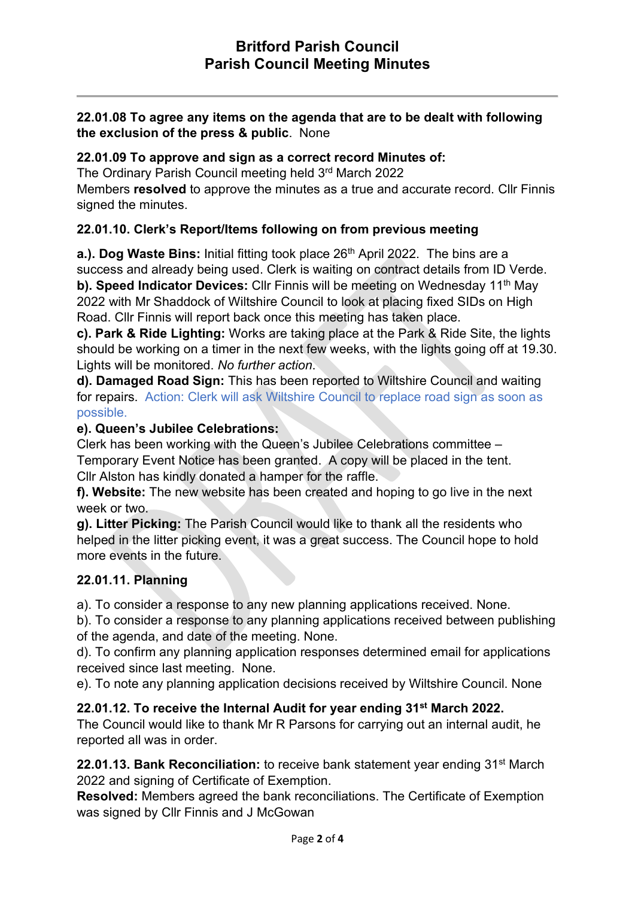## 22.01.08 To agree any items on the agenda that are to be dealt with following the exclusion of the press & public. None

#### 22.01.09 To approve and sign as a correct record Minutes of:

The Ordinary Parish Council meeting held 3rd March 2022

Members resolved to approve the minutes as a true and accurate record. Cllr Finnis signed the minutes.

### 22.01.10. Clerk's Report/Items following on from previous meeting

a.). Dog Waste Bins: Initial fitting took place  $26<sup>th</sup>$  April 2022. The bins are a success and already being used. Clerk is waiting on contract details from ID Verde. b). Speed Indicator Devices: Cllr Finnis will be meeting on Wednesday 11<sup>th</sup> May 2022 with Mr Shaddock of Wiltshire Council to look at placing fixed SIDs on High Road. Cllr Finnis will report back once this meeting has taken place.

c). Park & Ride Lighting: Works are taking place at the Park & Ride Site, the lights should be working on a timer in the next few weeks, with the lights going off at 19.30. Lights will be monitored. No further action.

d). Damaged Road Sign: This has been reported to Wiltshire Council and waiting for repairs. Action: Clerk will ask Wiltshire Council to replace road sign as soon as possible.

#### e). Queen's Jubilee Celebrations:

Clerk has been working with the Queen's Jubilee Celebrations committee – Temporary Event Notice has been granted. A copy will be placed in the tent. Cllr Alston has kindly donated a hamper for the raffle.

f). Website: The new website has been created and hoping to go live in the next week or two.

g). Litter Picking: The Parish Council would like to thank all the residents who helped in the litter picking event, it was a great success. The Council hope to hold more events in the future.

#### 22.01.11. Planning

a). To consider a response to any new planning applications received. None.

b). To consider a response to any planning applications received between publishing of the agenda, and date of the meeting. None.

d). To confirm any planning application responses determined email for applications received since last meeting. None.

e). To note any planning application decisions received by Wiltshire Council. None

## 22.01.12. To receive the Internal Audit for year ending 31<sup>st</sup> March 2022.

The Council would like to thank Mr R Parsons for carrying out an internal audit, he reported all was in order.

22.01.13. Bank Reconciliation: to receive bank statement year ending 31<sup>st</sup> March 2022 and signing of Certificate of Exemption.

Resolved: Members agreed the bank reconciliations. The Certificate of Exemption was signed by Cllr Finnis and J McGowan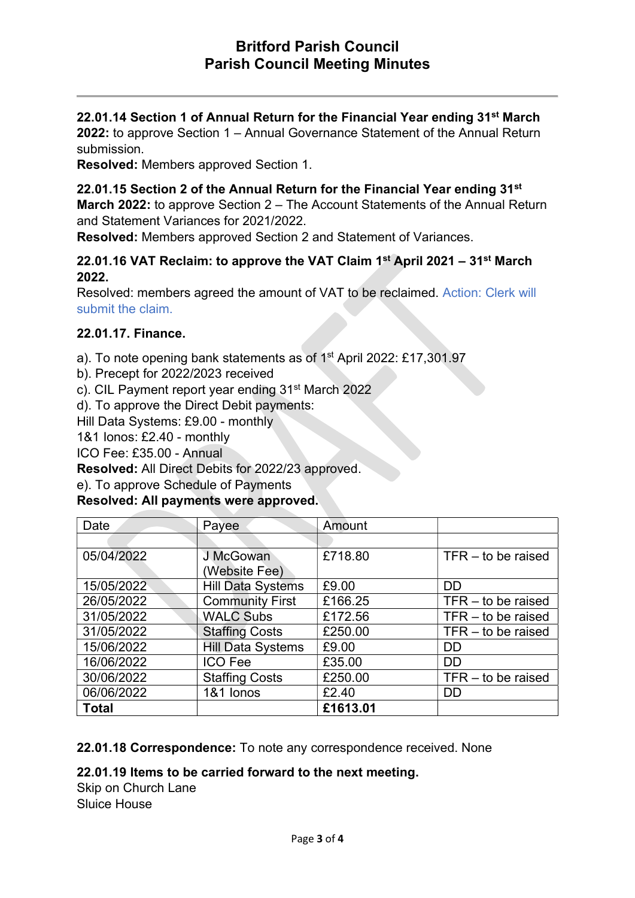## 22.01.14 Section 1 of Annual Return for the Financial Year ending 31<sup>st</sup> March

2022: to approve Section 1 – Annual Governance Statement of the Annual Return submission.

Resolved: Members approved Section 1.

#### 22.01.15 Section 2 of the Annual Return for the Financial Year ending 31<sup>st</sup>

March 2022: to approve Section 2 – The Account Statements of the Annual Return and Statement Variances for 2021/2022.

Resolved: Members approved Section 2 and Statement of Variances.

### 22.01.16 VAT Reclaim: to approve the VAT Claim  $1<sup>st</sup>$  April 2021 – 31 $<sup>st</sup>$  March</sup> 2022.

Resolved: members agreed the amount of VAT to be reclaimed. Action: Clerk will submit the claim.

#### 22.01.17. Finance.

a). To note opening bank statements as of 1st April 2022: £17,301.97

- b). Precept for 2022/2023 received
- c). CIL Payment report year ending 31<sup>st</sup> March 2022

d). To approve the Direct Debit payments:

Hill Data Systems: £9.00 - monthly

1&1 Ionos: £2.40 - monthly

ICO Fee: £35.00 - Annual

Resolved: All Direct Debits for 2022/23 approved.

e). To approve Schedule of Payments

#### Resolved: All payments were approved.

| Date         | Payee                             | Amount   |                      |
|--------------|-----------------------------------|----------|----------------------|
|              |                                   |          |                      |
| 05/04/2022   | <b>J McGowan</b><br>(Website Fee) | £718.80  | $TFR -$ to be raised |
| 15/05/2022   | <b>Hill Data Systems</b>          | £9.00    | <b>DD</b>            |
| 26/05/2022   | <b>Community First</b>            | £166.25  | $TFR -$ to be raised |
| 31/05/2022   | <b>WALC Subs</b>                  | £172.56  | $TFR -$ to be raised |
| 31/05/2022   | <b>Staffing Costs</b>             | £250.00  | $TFR - to be raised$ |
| 15/06/2022   | <b>Hill Data Systems</b>          | £9.00    | DD                   |
| 16/06/2022   | <b>ICO Fee</b>                    | £35.00   | <b>DD</b>            |
| 30/06/2022   | <b>Staffing Costs</b>             | £250.00  | $TFR - to be raised$ |
| 06/06/2022   | 1&1 lonos                         | £2.40    | DD                   |
| <b>Total</b> |                                   | £1613.01 |                      |

22.01.18 Correspondence: To note any correspondence received. None

#### 22.01.19 Items to be carried forward to the next meeting.

Skip on Church Lane Sluice House